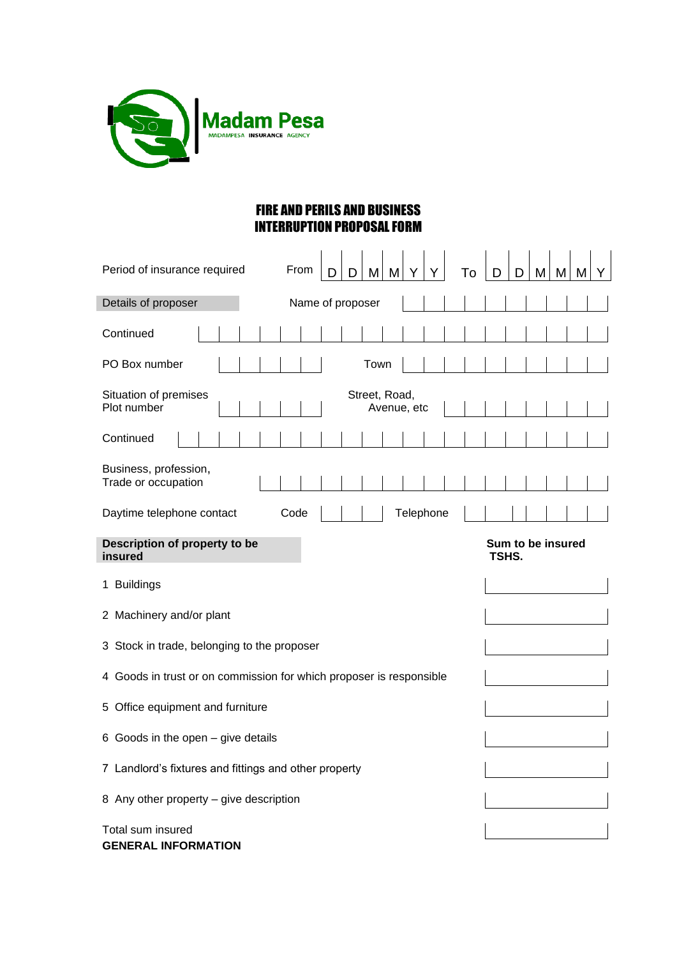

## FIRE AND PERILS AND BUSINESS INTERRUPTION PROPOSAL FORM

| Period of insurance required<br>From<br>M<br>M<br>To<br>D<br>M<br>M<br>M<br>D<br>D<br>D |  |  |  |  |  |  |  |
|-----------------------------------------------------------------------------------------|--|--|--|--|--|--|--|
| Details of proposer<br>Name of proposer                                                 |  |  |  |  |  |  |  |
| Continued                                                                               |  |  |  |  |  |  |  |
| PO Box number<br>Town                                                                   |  |  |  |  |  |  |  |
| Situation of premises<br>Street, Road,<br>Plot number<br>Avenue, etc                    |  |  |  |  |  |  |  |
| Continued                                                                               |  |  |  |  |  |  |  |
| Business, profession,<br>Trade or occupation                                            |  |  |  |  |  |  |  |
| Telephone<br>Daytime telephone contact<br>Code                                          |  |  |  |  |  |  |  |
| Description of property to be<br>Sum to be insured<br>TSHS.<br>insured                  |  |  |  |  |  |  |  |
| 1 Buildings                                                                             |  |  |  |  |  |  |  |
| 2 Machinery and/or plant                                                                |  |  |  |  |  |  |  |
| 3 Stock in trade, belonging to the proposer                                             |  |  |  |  |  |  |  |
| 4 Goods in trust or on commission for which proposer is responsible                     |  |  |  |  |  |  |  |
| Office equipment and furniture<br>5.                                                    |  |  |  |  |  |  |  |
| Goods in the open – give details<br>6.                                                  |  |  |  |  |  |  |  |
| 7 Landlord's fixtures and fittings and other property                                   |  |  |  |  |  |  |  |
| 8 Any other property - give description                                                 |  |  |  |  |  |  |  |
| Total sum insured<br><b>GENERAL INFORMATION</b>                                         |  |  |  |  |  |  |  |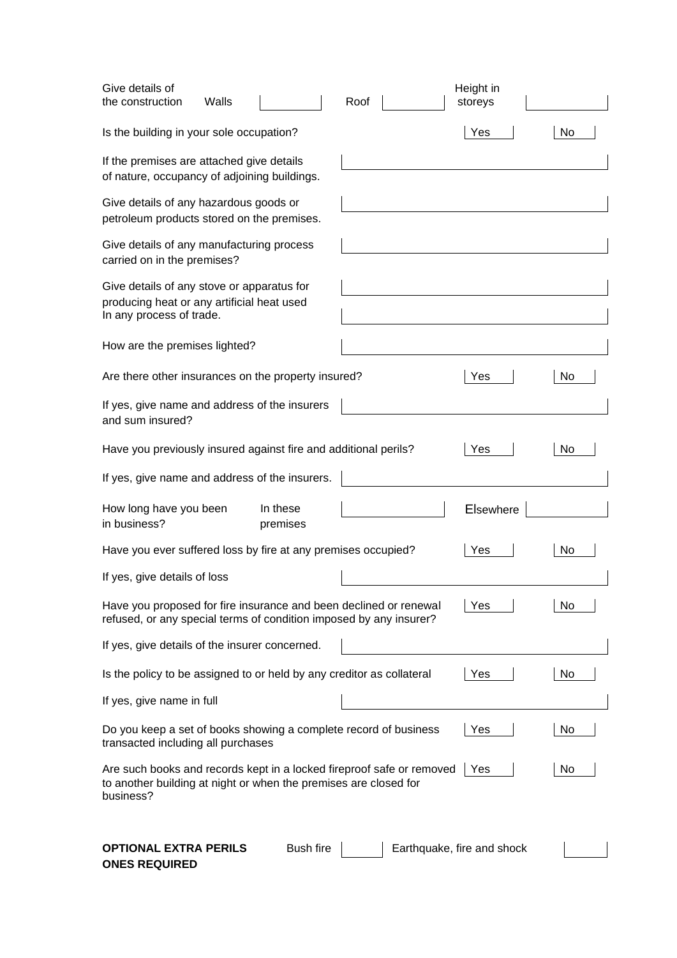| Give details of<br>the construction<br>Walls                                                                                                           |                      | Roof | Height in<br>storeys       |    |
|--------------------------------------------------------------------------------------------------------------------------------------------------------|----------------------|------|----------------------------|----|
| Is the building in your sole occupation?                                                                                                               |                      |      | Yes                        | No |
| If the premises are attached give details<br>of nature, occupancy of adjoining buildings.                                                              |                      |      |                            |    |
| Give details of any hazardous goods or<br>petroleum products stored on the premises.                                                                   |                      |      |                            |    |
| Give details of any manufacturing process<br>carried on in the premises?                                                                               |                      |      |                            |    |
| Give details of any stove or apparatus for<br>producing heat or any artificial heat used<br>In any process of trade.                                   |                      |      |                            |    |
| How are the premises lighted?                                                                                                                          |                      |      |                            |    |
| Are there other insurances on the property insured?                                                                                                    |                      |      | Yes                        | No |
| If yes, give name and address of the insurers<br>and sum insured?                                                                                      |                      |      |                            |    |
| Have you previously insured against fire and additional perils?                                                                                        |                      |      | Yes                        | No |
| If yes, give name and address of the insurers.                                                                                                         |                      |      |                            |    |
| How long have you been<br>in business?                                                                                                                 | In these<br>premises |      | <b>Elsewhere</b>           |    |
| Have you ever suffered loss by fire at any premises occupied?                                                                                          |                      |      | Yes                        | No |
| If yes, give details of loss                                                                                                                           |                      |      |                            |    |
| Have you proposed for fire insurance and been declined or renewal<br>refused, or any special terms of condition imposed by any insurer?                |                      |      | Yes                        | No |
| If yes, give details of the insurer concerned.                                                                                                         |                      |      |                            |    |
| Is the policy to be assigned to or held by any creditor as collateral                                                                                  |                      |      | Yes                        | No |
| If yes, give name in full                                                                                                                              |                      |      |                            |    |
| Do you keep a set of books showing a complete record of business<br>transacted including all purchases                                                 |                      |      | Yes                        | No |
| Are such books and records kept in a locked fireproof safe or removed<br>to another building at night or when the premises are closed for<br>business? |                      |      | Yes                        | No |
| OPTIONAL EXTRA PERILS<br>החחוווהי                                                                                                                      | <b>Bush fire</b>     |      | Earthquake, fire and shock |    |

**ONES REQUIRED**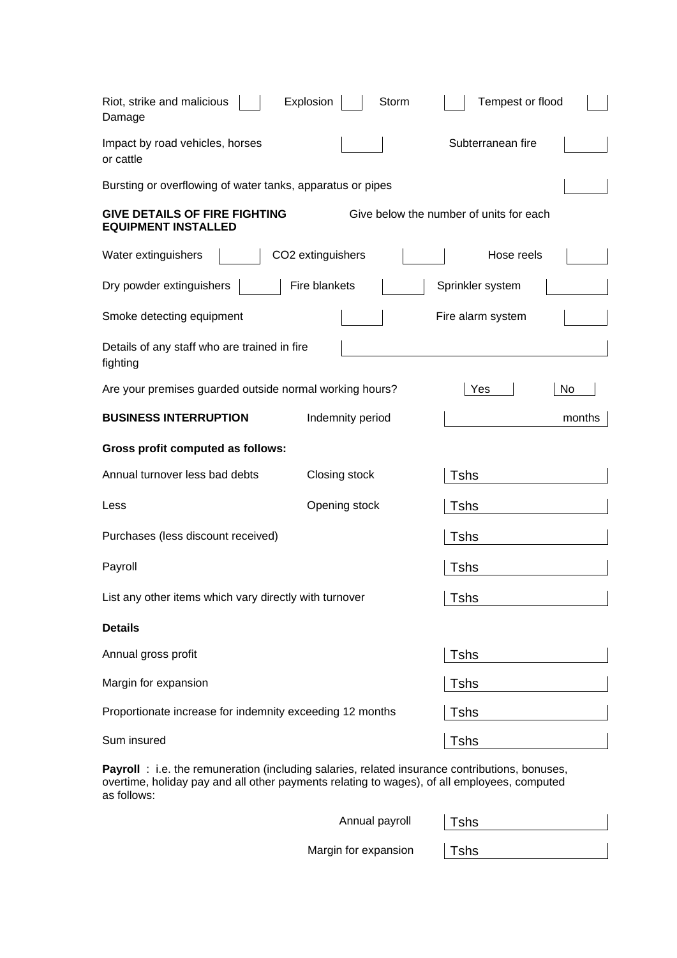| Explosion<br>Riot, strike and malicious<br>Storm<br>Damage                                                    | Tempest or flood  |  |  |  |  |  |  |
|---------------------------------------------------------------------------------------------------------------|-------------------|--|--|--|--|--|--|
| Impact by road vehicles, horses<br>or cattle                                                                  | Subterranean fire |  |  |  |  |  |  |
| Bursting or overflowing of water tanks, apparatus or pipes                                                    |                   |  |  |  |  |  |  |
| <b>GIVE DETAILS OF FIRE FIGHTING</b><br>Give below the number of units for each<br><b>EQUIPMENT INSTALLED</b> |                   |  |  |  |  |  |  |
| Water extinguishers<br>CO2 extinguishers                                                                      | Hose reels        |  |  |  |  |  |  |
| Fire blankets<br>Dry powder extinguishers                                                                     | Sprinkler system  |  |  |  |  |  |  |
| Smoke detecting equipment                                                                                     | Fire alarm system |  |  |  |  |  |  |
| Details of any staff who are trained in fire<br>fighting                                                      |                   |  |  |  |  |  |  |
| Are your premises guarded outside normal working hours?                                                       | No<br>Yes         |  |  |  |  |  |  |
| <b>BUSINESS INTERRUPTION</b><br>Indemnity period                                                              | months            |  |  |  |  |  |  |
| <b>Gross profit computed as follows:</b>                                                                      |                   |  |  |  |  |  |  |
| Annual turnover less bad debts<br>Closing stock                                                               | <b>Tshs</b>       |  |  |  |  |  |  |
| Opening stock<br>Less                                                                                         |                   |  |  |  |  |  |  |
|                                                                                                               | Tshs              |  |  |  |  |  |  |
| Purchases (less discount received)                                                                            | <b>Tshs</b>       |  |  |  |  |  |  |
| Payroll                                                                                                       | Tshs              |  |  |  |  |  |  |
| List any other items which vary directly with turnover                                                        | <b>Tshs</b>       |  |  |  |  |  |  |
| <b>Details</b>                                                                                                |                   |  |  |  |  |  |  |
| Annual gross profit                                                                                           | <b>Tshs</b>       |  |  |  |  |  |  |
| Margin for expansion                                                                                          | Tshs              |  |  |  |  |  |  |
| Proportionate increase for indemnity exceeding 12 months                                                      | Tshs              |  |  |  |  |  |  |

**Payroll** : i.e. the remuneration (including salaries, related insurance contributions, bonuses, overtime, holiday pay and all other payments relating to wages), of all employees, computed as follows:

Annual payroll | Tshs

Margin for expansion | Tshs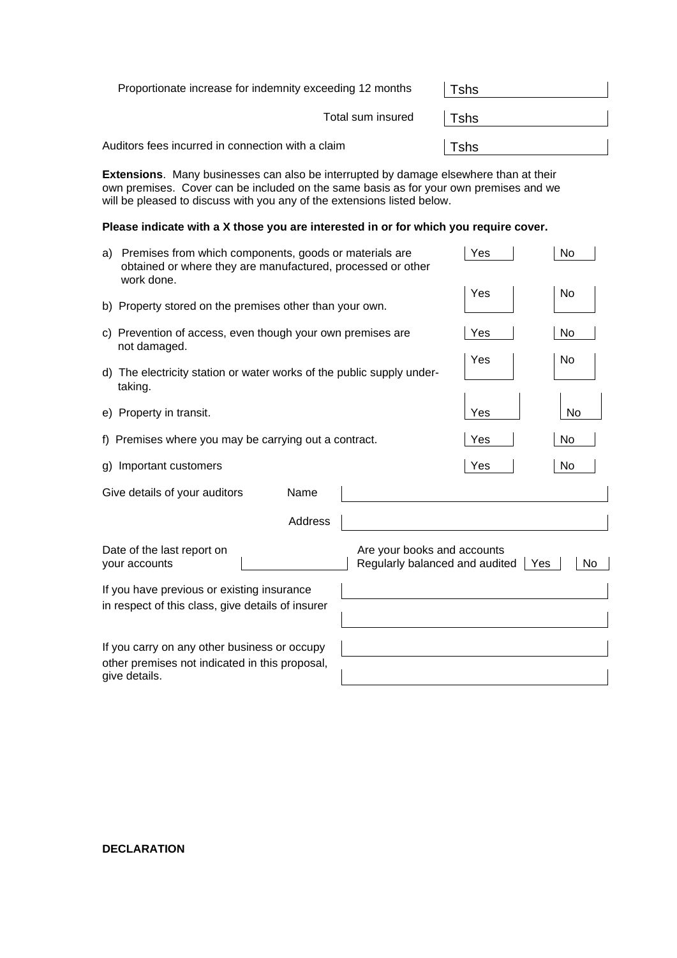| Proportionate increase for indemnity exceeding 12 months | Tshs         |  |  |
|----------------------------------------------------------|--------------|--|--|
| Total sum insured                                        | $\vert$ Tshs |  |  |
| Auditors fees incurred in connection with a claim        | Tshs         |  |  |

**Extensions**. Many businesses can also be interrupted by damage elsewhere than at their own premises. Cover can be included on the same basis as for your own premises and we will be pleased to discuss with you any of the extensions listed below.

## **Please indicate with a X those you are interested in or for which you require cover.**

| a) | Premises from which components, goods or materials are<br>obtained or where they are manufactured, processed or other<br>work done. |                                                               | Yes | No        |
|----|-------------------------------------------------------------------------------------------------------------------------------------|---------------------------------------------------------------|-----|-----------|
|    | b) Property stored on the premises other than your own.                                                                             |                                                               | Yes | No        |
|    | c) Prevention of access, even though your own premises are<br>not damaged.                                                          |                                                               | Yes | No        |
|    | d) The electricity station or water works of the public supply under-<br>taking.                                                    |                                                               | Yes | No        |
|    | e) Property in transit.                                                                                                             |                                                               | Yes | <b>No</b> |
|    | f) Premises where you may be carrying out a contract.                                                                               |                                                               | Yes | No        |
| g) | Important customers                                                                                                                 |                                                               | Yes | No        |
|    | Give details of your auditors<br>Name                                                                                               |                                                               |     |           |
|    | Address                                                                                                                             |                                                               |     |           |
|    | Date of the last report on<br>your accounts                                                                                         | Are your books and accounts<br>Regularly balanced and audited | Yes | No        |
|    | If you have previous or existing insurance                                                                                          |                                                               |     |           |
|    | in respect of this class, give details of insurer                                                                                   |                                                               |     |           |
|    | If you carry on any other business or occupy<br>other premises not indicated in this proposal,<br>give details.                     |                                                               |     |           |

**DECLARATION**